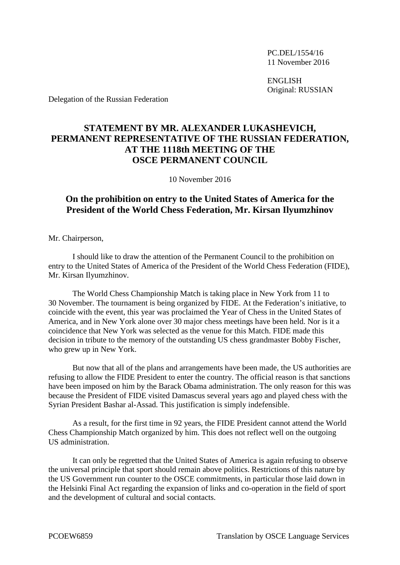PC.DEL/1554/16 11 November 2016

ENGLISH Original: RUSSIAN

Delegation of the Russian Federation

## **STATEMENT BY MR. ALEXANDER LUKASHEVICH, PERMANENT REPRESENTATIVE OF THE RUSSIAN FEDERATION, AT THE 1118th MEETING OF THE OSCE PERMANENT COUNCIL**

10 November 2016

## **On the prohibition on entry to the United States of America for the President of the World Chess Federation, Mr. Kirsan Ilyumzhinov**

Mr. Chairperson,

I should like to draw the attention of the Permanent Council to the prohibition on entry to the United States of America of the President of the World Chess Federation (FIDE), Mr. Kirsan Ilyumzhinov.

The World Chess Championship Match is taking place in New York from 11 to 30 November. The tournament is being organized by FIDE. At the Federation's initiative, to coincide with the event, this year was proclaimed the Year of Chess in the United States of America, and in New York alone over 30 major chess meetings have been held. Nor is it a coincidence that New York was selected as the venue for this Match. FIDE made this decision in tribute to the memory of the outstanding US chess grandmaster Bobby Fischer, who grew up in New York.

But now that all of the plans and arrangements have been made, the US authorities are refusing to allow the FIDE President to enter the country. The official reason is that sanctions have been imposed on him by the Barack Obama administration. The only reason for this was because the President of FIDE visited Damascus several years ago and played chess with the Syrian President Bashar al-Assad. This justification is simply indefensible.

As a result, for the first time in 92 years, the FIDE President cannot attend the World Chess Championship Match organized by him. This does not reflect well on the outgoing US administration.

It can only be regretted that the United States of America is again refusing to observe the universal principle that sport should remain above politics. Restrictions of this nature by the US Government run counter to the OSCE commitments, in particular those laid down in the Helsinki Final Act regarding the expansion of links and co-operation in the field of sport and the development of cultural and social contacts.